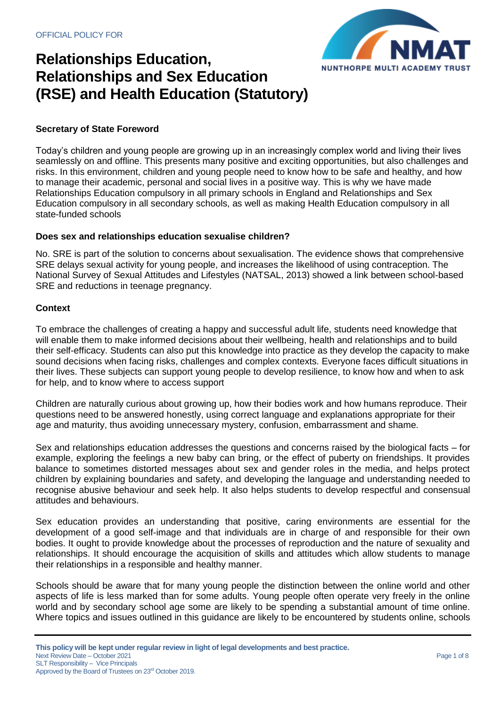

### **Secretary of State Foreword**

Today's children and young people are growing up in an increasingly complex world and living their lives seamlessly on and offline. This presents many positive and exciting opportunities, but also challenges and risks. In this environment, children and young people need to know how to be safe and healthy, and how to manage their academic, personal and social lives in a positive way. This is why we have made Relationships Education compulsory in all primary schools in England and Relationships and Sex Education compulsory in all secondary schools, as well as making Health Education compulsory in all state-funded schools

#### **Does sex and relationships education sexualise children?**

No. SRE is part of the solution to concerns about sexualisation. The evidence shows that comprehensive SRE delays sexual activity for young people, and increases the likelihood of using contraception. The National Survey of Sexual Attitudes and Lifestyles (NATSAL, 2013) showed a link between school-based SRE and reductions in teenage pregnancy.

#### **Context**

To embrace the challenges of creating a happy and successful adult life, students need knowledge that will enable them to make informed decisions about their wellbeing, health and relationships and to build their self-efficacy. Students can also put this knowledge into practice as they develop the capacity to make sound decisions when facing risks, challenges and complex contexts. Everyone faces difficult situations in their lives. These subjects can support young people to develop resilience, to know how and when to ask for help, and to know where to access support

Children are naturally curious about growing up, how their bodies work and how humans reproduce. Their questions need to be answered honestly, using correct language and explanations appropriate for their age and maturity, thus avoiding unnecessary mystery, confusion, embarrassment and shame.

Sex and relationships education addresses the questions and concerns raised by the biological facts – for example, exploring the feelings a new baby can bring, or the effect of puberty on friendships. It provides balance to sometimes distorted messages about sex and gender roles in the media, and helps protect children by explaining boundaries and safety, and developing the language and understanding needed to recognise abusive behaviour and seek help. It also helps students to develop respectful and consensual attitudes and behaviours.

Sex education provides an understanding that positive, caring environments are essential for the development of a good self-image and that individuals are in charge of and responsible for their own bodies. It ought to provide knowledge about the processes of reproduction and the nature of sexuality and relationships. It should encourage the acquisition of skills and attitudes which allow students to manage their relationships in a responsible and healthy manner.

Schools should be aware that for many young people the distinction between the online world and other aspects of life is less marked than for some adults. Young people often operate very freely in the online world and by secondary school age some are likely to be spending a substantial amount of time online. Where topics and issues outlined in this guidance are likely to be encountered by students online, schools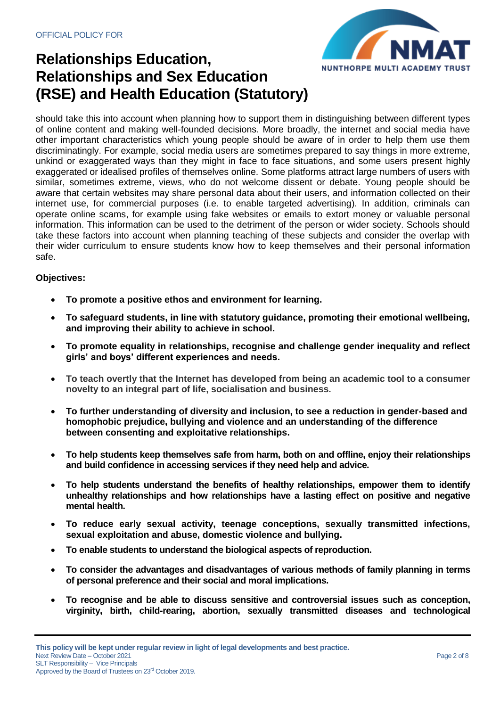

should take this into account when planning how to support them in distinguishing between different types of online content and making well-founded decisions. More broadly, the internet and social media have other important characteristics which young people should be aware of in order to help them use them discriminatingly. For example, social media users are sometimes prepared to say things in more extreme, unkind or exaggerated ways than they might in face to face situations, and some users present highly exaggerated or idealised profiles of themselves online. Some platforms attract large numbers of users with similar, sometimes extreme, views, who do not welcome dissent or debate. Young people should be aware that certain websites may share personal data about their users, and information collected on their internet use, for commercial purposes (i.e. to enable targeted advertising). In addition, criminals can operate online scams, for example using fake websites or emails to extort money or valuable personal information. This information can be used to the detriment of the person or wider society. Schools should take these factors into account when planning teaching of these subjects and consider the overlap with their wider curriculum to ensure students know how to keep themselves and their personal information safe.

## **Objectives:**

- **To promote a positive ethos and environment for learning.**
- **To safeguard students, in line with statutory guidance, promoting their emotional wellbeing, and improving their ability to achieve in school.**
- **To promote equality in relationships, recognise and challenge gender inequality and reflect girls' and boys' different experiences and needs.**
- **To teach overtly that the Internet has developed from being an academic tool to a consumer novelty to an integral part of life, socialisation and business.**
- **To further understanding of diversity and inclusion, to see a reduction in gender-based and homophobic prejudice, bullying and violence and an understanding of the difference between consenting and exploitative relationships.**
- **To help students keep themselves safe from harm, both on and offline, enjoy their relationships and build confidence in accessing services if they need help and advice.**
- **To help students understand the benefits of healthy relationships, empower them to identify unhealthy relationships and how relationships have a lasting effect on positive and negative mental health.**
- **To reduce early sexual activity, teenage conceptions, sexually transmitted infections, sexual exploitation and abuse, domestic violence and bullying.**
- **To enable students to understand the biological aspects of reproduction.**
- **To consider the advantages and disadvantages of various methods of family planning in terms of personal preference and their social and moral implications.**
- **To recognise and be able to discuss sensitive and controversial issues such as conception, virginity, birth, child-rearing, abortion, sexually transmitted diseases and technological**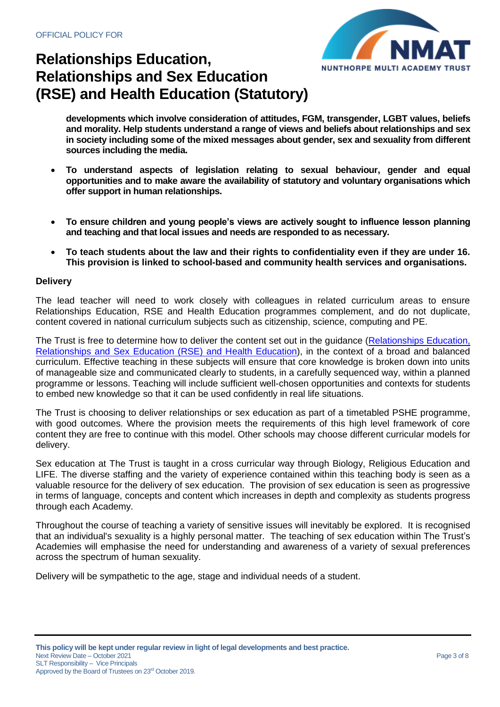

**developments which involve consideration of attitudes, FGM, transgender, LGBT values, beliefs and morality. Help students understand a range of views and beliefs about relationships and sex in society including some of the mixed messages about gender, sex and sexuality from different sources including the media.**

- **To understand aspects of legislation relating to sexual behaviour, gender and equal opportunities and to make aware the availability of statutory and voluntary organisations which offer support in human relationships.**
- **To ensure children and young people's views are actively sought to influence lesson planning and teaching and that local issues and needs are responded to as necessary.**
- **To teach students about the law and their rights to confidentiality even if they are under 16. This provision is linked to school-based and community health services and organisations.**

### **Delivery**

The lead teacher will need to work closely with colleagues in related curriculum areas to ensure Relationships Education, RSE and Health Education programmes complement, and do not duplicate, content covered in national curriculum subjects such as citizenship, science, computing and PE.

The Trust is free to determine how to deliver the content set out in the guidance [\(Relationships Education,](https://assets.publishing.service.gov.uk/government/uploads/system/uploads/attachment_data/file/805781/Relationships_Education__Relationships_and_Sex_Education__RSE__and_Health_Education.pdf)  [Relationships and Sex Education \(RSE\) and Health Education\)](https://assets.publishing.service.gov.uk/government/uploads/system/uploads/attachment_data/file/805781/Relationships_Education__Relationships_and_Sex_Education__RSE__and_Health_Education.pdf), in the context of a broad and balanced curriculum. Effective teaching in these subjects will ensure that core knowledge is broken down into units of manageable size and communicated clearly to students, in a carefully sequenced way, within a planned programme or lessons. Teaching will include sufficient well-chosen opportunities and contexts for students to embed new knowledge so that it can be used confidently in real life situations.

The Trust is choosing to deliver relationships or sex education as part of a timetabled PSHE programme, with good outcomes. Where the provision meets the requirements of this high level framework of core content they are free to continue with this model. Other schools may choose different curricular models for delivery.

Sex education at The Trust is taught in a cross curricular way through Biology, Religious Education and LIFE. The diverse staffing and the variety of experience contained within this teaching body is seen as a valuable resource for the delivery of sex education. The provision of sex education is seen as progressive in terms of language, concepts and content which increases in depth and complexity as students progress through each Academy.

Throughout the course of teaching a variety of sensitive issues will inevitably be explored. It is recognised that an individual's sexuality is a highly personal matter. The teaching of sex education within The Trust's Academies will emphasise the need for understanding and awareness of a variety of sexual preferences across the spectrum of human sexuality.

Delivery will be sympathetic to the age, stage and individual needs of a student.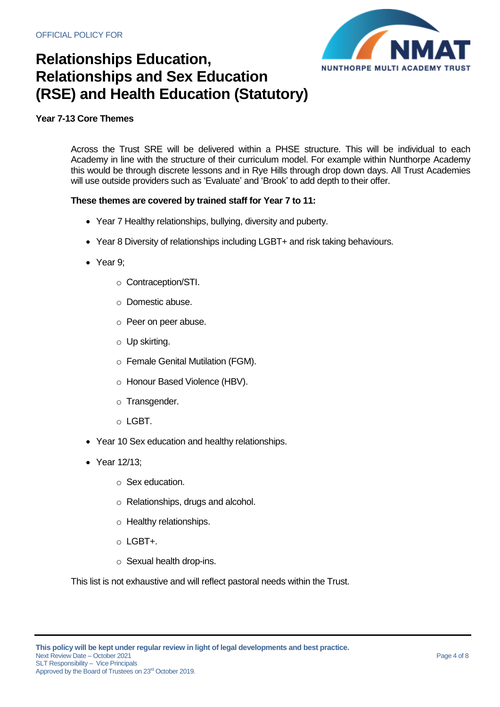

### **Year 7-13 Core Themes**

Across the Trust SRE will be delivered within a PHSE structure. This will be individual to each Academy in line with the structure of their curriculum model. For example within Nunthorpe Academy this would be through discrete lessons and in Rye Hills through drop down days. All Trust Academies will use outside providers such as 'Evaluate' and 'Brook' to add depth to their offer.

#### **These themes are covered by trained staff for Year 7 to 11:**

- Year 7 Healthy relationships, bullying, diversity and puberty.
- Year 8 Diversity of relationships including LGBT+ and risk taking behaviours.
- Year 9;
	- o Contraception/STI.
	- o Domestic abuse.
	- o Peer on peer abuse.
	- o Up skirting.
	- o Female Genital Mutilation (FGM).
	- o Honour Based Violence (HBV).
	- o Transgender.
	- o LGBT.
- Year 10 Sex education and healthy relationships.
- Year 12/13:
	- o Sex education.
	- o Relationships, drugs and alcohol.
	- o Healthy relationships.
	- o LGBT+.
	- o Sexual health drop-ins.

This list is not exhaustive and will reflect pastoral needs within the Trust.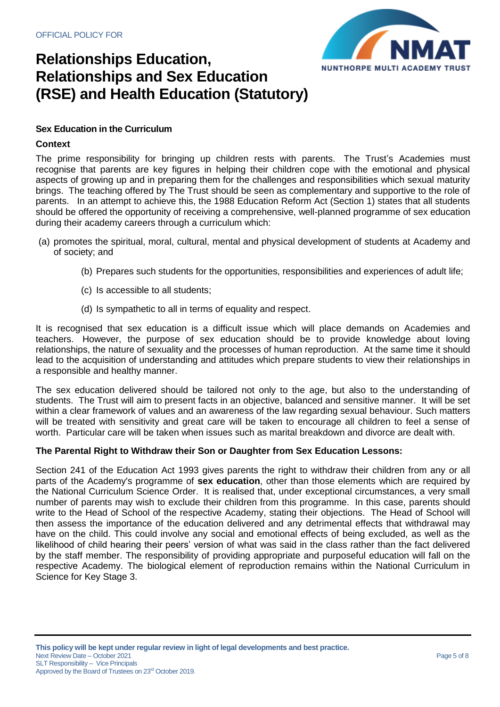

### **Sex Education in the Curriculum**

#### **Context**

The prime responsibility for bringing up children rests with parents. The Trust's Academies must recognise that parents are key figures in helping their children cope with the emotional and physical aspects of growing up and in preparing them for the challenges and responsibilities which sexual maturity brings. The teaching offered by The Trust should be seen as complementary and supportive to the role of parents. In an attempt to achieve this, the 1988 Education Reform Act (Section 1) states that all students should be offered the opportunity of receiving a comprehensive, well-planned programme of sex education during their academy careers through a curriculum which:

- (a) promotes the spiritual, moral, cultural, mental and physical development of students at Academy and of society; and
	- (b) Prepares such students for the opportunities, responsibilities and experiences of adult life;
	- (c) Is accessible to all students;
	- (d) Is sympathetic to all in terms of equality and respect.

It is recognised that sex education is a difficult issue which will place demands on Academies and teachers. However, the purpose of sex education should be to provide knowledge about loving relationships, the nature of sexuality and the processes of human reproduction. At the same time it should lead to the acquisition of understanding and attitudes which prepare students to view their relationships in a responsible and healthy manner.

The sex education delivered should be tailored not only to the age, but also to the understanding of students. The Trust will aim to present facts in an objective, balanced and sensitive manner. It will be set within a clear framework of values and an awareness of the law regarding sexual behaviour. Such matters will be treated with sensitivity and great care will be taken to encourage all children to feel a sense of worth. Particular care will be taken when issues such as marital breakdown and divorce are dealt with.

#### **The Parental Right to Withdraw their Son or Daughter from Sex Education Lessons:**

Section 241 of the Education Act 1993 gives parents the right to withdraw their children from any or all parts of the Academy's programme of **sex education**, other than those elements which are required by the National Curriculum Science Order. It is realised that, under exceptional circumstances, a very small number of parents may wish to exclude their children from this programme. In this case, parents should write to the Head of School of the respective Academy, stating their objections. The Head of School will then assess the importance of the education delivered and any detrimental effects that withdrawal may have on the child. This could involve any social and emotional effects of being excluded, as well as the likelihood of child hearing their peers' version of what was said in the class rather than the fact delivered by the staff member. The responsibility of providing appropriate and purposeful education will fall on the respective Academy. The biological element of reproduction remains within the National Curriculum in Science for Key Stage 3.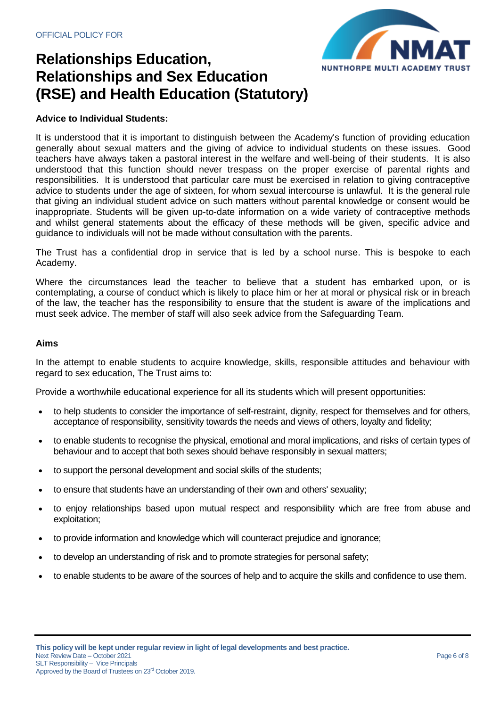

### **Advice to Individual Students:**

It is understood that it is important to distinguish between the Academy's function of providing education generally about sexual matters and the giving of advice to individual students on these issues. Good teachers have always taken a pastoral interest in the welfare and well-being of their students. It is also understood that this function should never trespass on the proper exercise of parental rights and responsibilities. It is understood that particular care must be exercised in relation to giving contraceptive advice to students under the age of sixteen, for whom sexual intercourse is unlawful. It is the general rule that giving an individual student advice on such matters without parental knowledge or consent would be inappropriate. Students will be given up-to-date information on a wide variety of contraceptive methods and whilst general statements about the efficacy of these methods will be given, specific advice and guidance to individuals will not be made without consultation with the parents.

The Trust has a confidential drop in service that is led by a school nurse. This is bespoke to each Academy.

Where the circumstances lead the teacher to believe that a student has embarked upon, or is contemplating, a course of conduct which is likely to place him or her at moral or physical risk or in breach of the law, the teacher has the responsibility to ensure that the student is aware of the implications and must seek advice. The member of staff will also seek advice from the Safeguarding Team.

#### **Aims**

In the attempt to enable students to acquire knowledge, skills, responsible attitudes and behaviour with regard to sex education, The Trust aims to:

Provide a worthwhile educational experience for all its students which will present opportunities:

- to help students to consider the importance of self-restraint, dignity, respect for themselves and for others, acceptance of responsibility, sensitivity towards the needs and views of others, loyalty and fidelity;
- to enable students to recognise the physical, emotional and moral implications, and risks of certain types of behaviour and to accept that both sexes should behave responsibly in sexual matters;
- to support the personal development and social skills of the students;
- to ensure that students have an understanding of their own and others' sexuality;
- to enjoy relationships based upon mutual respect and responsibility which are free from abuse and exploitation;
- to provide information and knowledge which will counteract prejudice and ignorance;
- to develop an understanding of risk and to promote strategies for personal safety;
- to enable students to be aware of the sources of help and to acquire the skills and confidence to use them.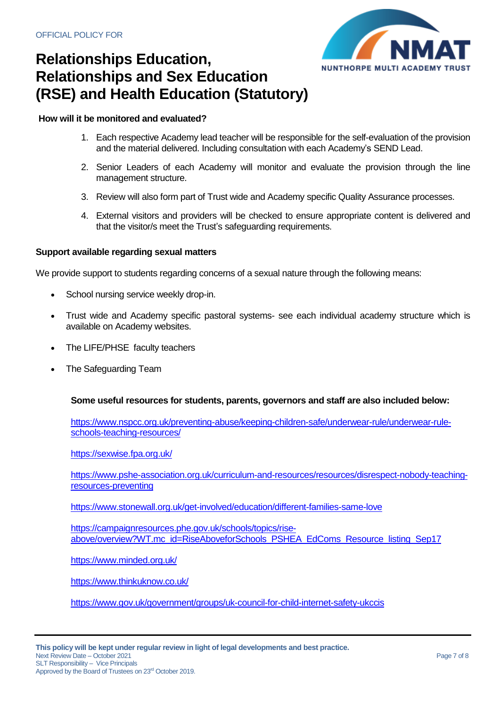

### **How will it be monitored and evaluated?**

- 1. Each respective Academy lead teacher will be responsible for the self-evaluation of the provision and the material delivered. Including consultation with each Academy's SEND Lead.
- 2. Senior Leaders of each Academy will monitor and evaluate the provision through the line management structure.
- 3. Review will also form part of Trust wide and Academy specific Quality Assurance processes.
- 4. External visitors and providers will be checked to ensure appropriate content is delivered and that the visitor/s meet the Trust's safeguarding requirements.

### **Support available regarding sexual matters**

We provide support to students regarding concerns of a sexual nature through the following means:

- School nursing service weekly drop-in.
- Trust wide and Academy specific pastoral systems- see each individual academy structure which is available on Academy websites.
- The LIFE/PHSE faculty teachers
- The Safeguarding Team

## **Some useful resources for students, parents, governors and staff are also included below:**

[https://www.nspcc.org.uk/preventing-abuse/keeping-children-safe/underwear-rule/underwear-rule](https://www.nspcc.org.uk/preventing-abuse/keeping-children-safe/underwear-rule/underwear-rule-schools-teaching-resources/)[schools-teaching-resources/](https://www.nspcc.org.uk/preventing-abuse/keeping-children-safe/underwear-rule/underwear-rule-schools-teaching-resources/)

<https://sexwise.fpa.org.uk/>

[https://www.pshe-association.org.uk/curriculum-and-resources/resources/disrespect-nobody-teaching](https://www.pshe-association.org.uk/curriculum-and-resources/resources/disrespect-nobody-teaching-resources-preventing)[resources-preventing](https://www.pshe-association.org.uk/curriculum-and-resources/resources/disrespect-nobody-teaching-resources-preventing)

<https://www.stonewall.org.uk/get-involved/education/different-families-same-love>

[https://campaignresources.phe.gov.uk/schools/topics/rise](https://campaignresources.phe.gov.uk/schools/topics/rise-above/overview?WT.mc_id=RiseAboveforSchools_PSHEA_EdComs_Resource_listing_Sep17)[above/overview?WT.mc\\_id=RiseAboveforSchools\\_PSHEA\\_EdComs\\_Resource\\_listing\\_Sep17](https://campaignresources.phe.gov.uk/schools/topics/rise-above/overview?WT.mc_id=RiseAboveforSchools_PSHEA_EdComs_Resource_listing_Sep17)

<https://www.minded.org.uk/>

<https://www.thinkuknow.co.uk/>

<https://www.gov.uk/government/groups/uk-council-for-child-internet-safety-ukccis>